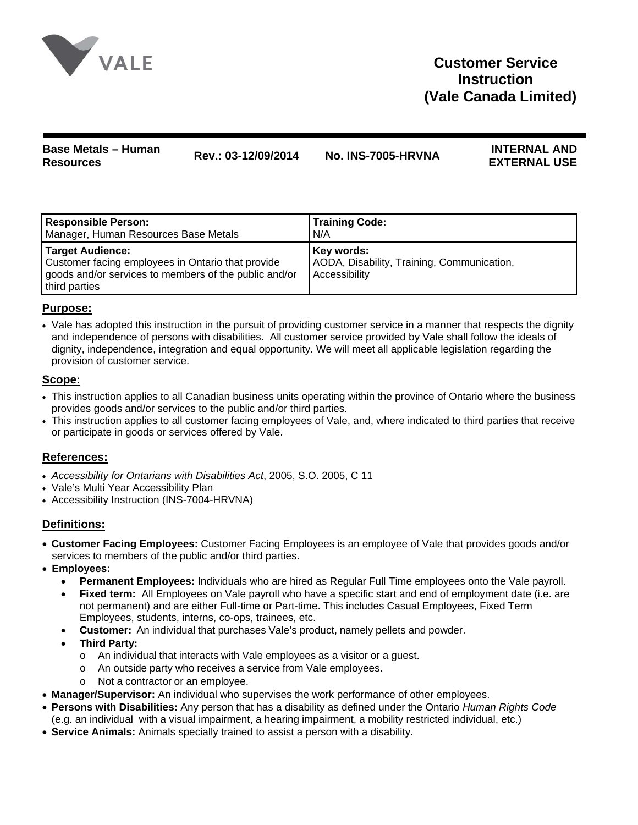

# **Base Metals – Human Resources Rev.: 03-12/09/2014 No. INS-7005-HRVNA INTERNAL AND**

# **EXTERNAL USE**

| <b>Responsible Person:</b>                                                                                                                             | <b>Training Code:</b>                                                     |
|--------------------------------------------------------------------------------------------------------------------------------------------------------|---------------------------------------------------------------------------|
| Manager, Human Resources Base Metals                                                                                                                   | N/A                                                                       |
| <b>Target Audience:</b><br>Customer facing employees in Ontario that provide<br>goods and/or services to members of the public and/or<br>third parties | Key words:<br>AODA, Disability, Training, Communication,<br>Accessibility |

# **Purpose:**

• Vale has adopted this instruction in the pursuit of providing customer service in a manner that respects the dignity and independence of persons with disabilities. All customer service provided by Vale shall follow the ideals of dignity, independence, integration and equal opportunity. We will meet all applicable legislation regarding the provision of customer service.

# **Scope:**

- This instruction applies to all Canadian business units operating within the province of Ontario where the business provides goods and/or services to the public and/or third parties.
- This instruction applies to all customer facing employees of Vale, and, where indicated to third parties that receive or participate in goods or services offered by Vale.

## **References:**

- *Accessibility for Ontarians with Disabilities Act*, 2005, S.O. 2005, C 11
- Vale's Multi Year Accessibility Plan
- Accessibility Instruction (INS-7004-HRVNA)

# **Definitions:**

- **Customer Facing Employees:** Customer Facing Employees is an employee of Vale that provides goods and/or services to members of the public and/or third parties.
- **Employees:**
	- **Permanent Employees:** Individuals who are hired as Regular Full Time employees onto the Vale payroll.
	- **Fixed term:** All Employees on Vale payroll who have a specific start and end of employment date (i.e. are not permanent) and are either Full-time or Part-time. This includes Casual Employees, Fixed Term Employees, students, interns, co-ops, trainees, etc.
	- **Customer:** An individual that purchases Vale's product, namely pellets and powder.
	- **Third Party:**
		- o An individual that interacts with Vale employees as a visitor or a guest.
		- o An outside party who receives a service from Vale employees.
		- Not a contractor or an employee.
- **Manager/Supervisor:** An individual who supervises the work performance of other employees.
- **Persons with Disabilities:** Any person that has a disability as defined under the Ontario *Human Rights Code* (e.g. an individual with a visual impairment, a hearing impairment, a mobility restricted individual, etc.)
- **Service Animals:** Animals specially trained to assist a person with a disability.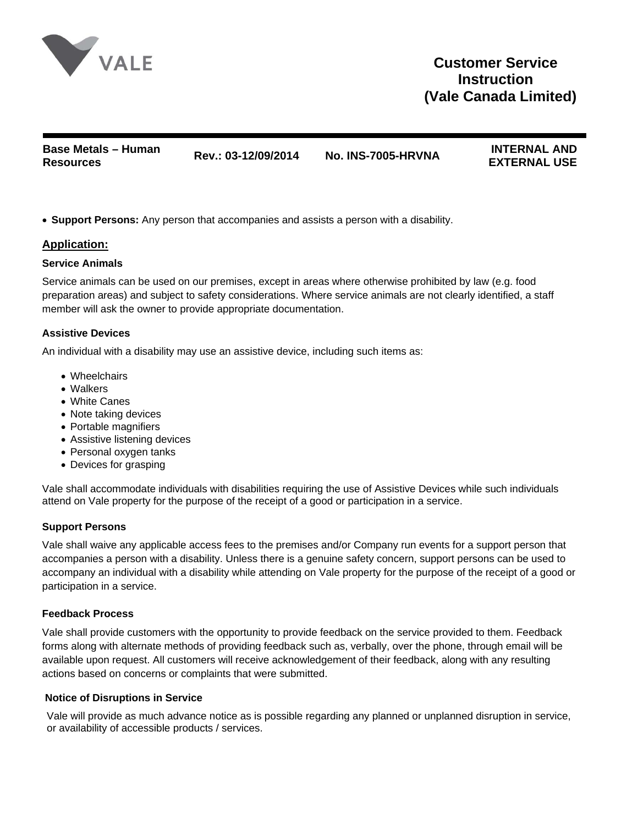

**Base Metals – Human Resources Rev.: 03-12/09/2014 No. INS-7005-HRVNA INTERNAL AND** 

**EXTERNAL USE** 

• **Support Persons:** Any person that accompanies and assists a person with a disability.

## **Application:**

#### **Service Animals**

Service animals can be used on our premises, except in areas where otherwise prohibited by law (e.g. food preparation areas) and subject to safety considerations. Where service animals are not clearly identified, a staff member will ask the owner to provide appropriate documentation.

## **Assistive Devices**

An individual with a disability may use an assistive device, including such items as:

- Wheelchairs
- Walkers
- White Canes
- Note taking devices
- Portable magnifiers
- Assistive listening devices
- Personal oxygen tanks
- Devices for grasping

Vale shall accommodate individuals with disabilities requiring the use of Assistive Devices while such individuals attend on Vale property for the purpose of the receipt of a good or participation in a service.

## **Support Persons**

Vale shall waive any applicable access fees to the premises and/or Company run events for a support person that accompanies a person with a disability. Unless there is a genuine safety concern, support persons can be used to accompany an individual with a disability while attending on Vale property for the purpose of the receipt of a good or participation in a service.

#### **Feedback Process**

Vale shall provide customers with the opportunity to provide feedback on the service provided to them. Feedback forms along with alternate methods of providing feedback such as, verbally, over the phone, through email will be available upon request. All customers will receive acknowledgement of their feedback, along with any resulting actions based on concerns or complaints that were submitted.

#### **Notice of Disruptions in Service**

Vale will provide as much advance notice as is possible regarding any planned or unplanned disruption in service, or availability of accessible products / services.